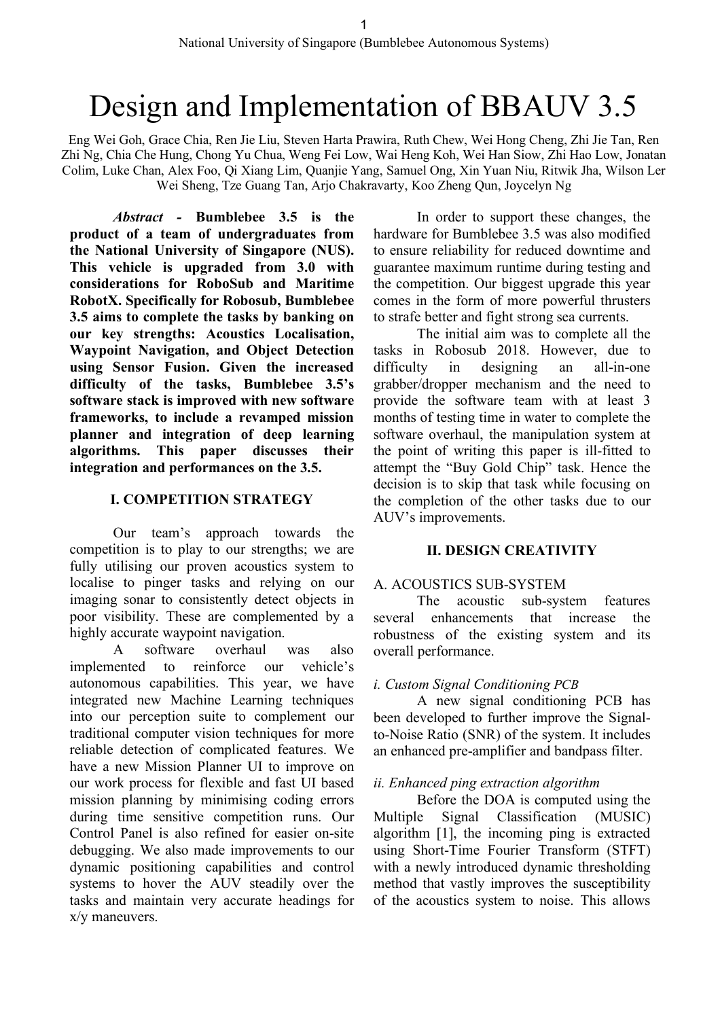# Design and Implementation of BBAUV 3.5

Eng Wei Goh, Grace Chia, Ren Jie Liu, Steven Harta Prawira, Ruth Chew, Wei Hong Cheng, Zhi Jie Tan, Ren Zhi Ng, Chia Che Hung, Chong Yu Chua, Weng Fei Low, Wai Heng Koh, Wei Han Siow, Zhi Hao Low, Jonatan Colim, Luke Chan, Alex Foo, Qi Xiang Lim, Quanjie Yang, Samuel Ong, Xin Yuan Niu, Ritwik Jha, Wilson Ler Wei Sheng, Tze Guang Tan, Arjo Chakravarty, Koo Zheng Qun, Joycelyn Ng

*Abstract -* **Bumblebee 3.5 is the product of a team of undergraduates from the National University of Singapore (NUS). This vehicle is upgraded from 3.0 with considerations for RoboSub and Maritime RobotX. Specifically for Robosub, Bumblebee 3.5 aims to complete the tasks by banking on our key strengths: Acoustics Localisation, Waypoint Navigation, and Object Detection using Sensor Fusion. Given the increased difficulty of the tasks, Bumblebee 3.5's software stack is improved with new software frameworks, to include a revamped mission planner and integration of deep learning algorithms. This paper discusses their integration and performances on the 3.5.** 

### **I. COMPETITION STRATEGY**

Our team's approach towards the competition is to play to our strengths; we are fully utilising our proven acoustics system to localise to pinger tasks and relying on our imaging sonar to consistently detect objects in poor visibility. These are complemented by a highly accurate waypoint navigation.

A software overhaul was also implemented to reinforce our vehicle's autonomous capabilities. This year, we have integrated new Machine Learning techniques into our perception suite to complement our traditional computer vision techniques for more reliable detection of complicated features. We have a new Mission Planner UI to improve on our work process for flexible and fast UI based mission planning by minimising coding errors during time sensitive competition runs. Our Control Panel is also refined for easier on-site debugging. We also made improvements to our dynamic positioning capabilities and control systems to hover the AUV steadily over the tasks and maintain very accurate headings for x/y maneuvers.

In order to support these changes, the hardware for Bumblebee 3.5 was also modified to ensure reliability for reduced downtime and guarantee maximum runtime during testing and the competition. Our biggest upgrade this year comes in the form of more powerful thrusters to strafe better and fight strong sea currents.

The initial aim was to complete all the tasks in Robosub 2018. However, due to difficulty in designing an all-in-one grabber/dropper mechanism and the need to provide the software team with at least 3 months of testing time in water to complete the software overhaul, the manipulation system at the point of writing this paper is ill-fitted to attempt the "Buy Gold Chip" task. Hence the decision is to skip that task while focusing on the completion of the other tasks due to our AUV's improvements.

# **II. DESIGN CREATIVITY**

### A. ACOUSTICS SUB-SYSTEM

The acoustic sub-system features several enhancements that increase the robustness of the existing system and its overall performance.

# *i. Custom Signal Conditioning PCB*

A new signal conditioning PCB has been developed to further improve the Signalto-Noise Ratio (SNR) of the system. It includes an enhanced pre-amplifier and bandpass filter.

# *ii. Enhanced ping extraction algorithm*

Before the DOA is computed using the Multiple Signal Classification (MUSIC) algorithm [1], the incoming ping is extracted using Short-Time Fourier Transform (STFT) with a newly introduced dynamic thresholding method that vastly improves the susceptibility of the acoustics system to noise. This allows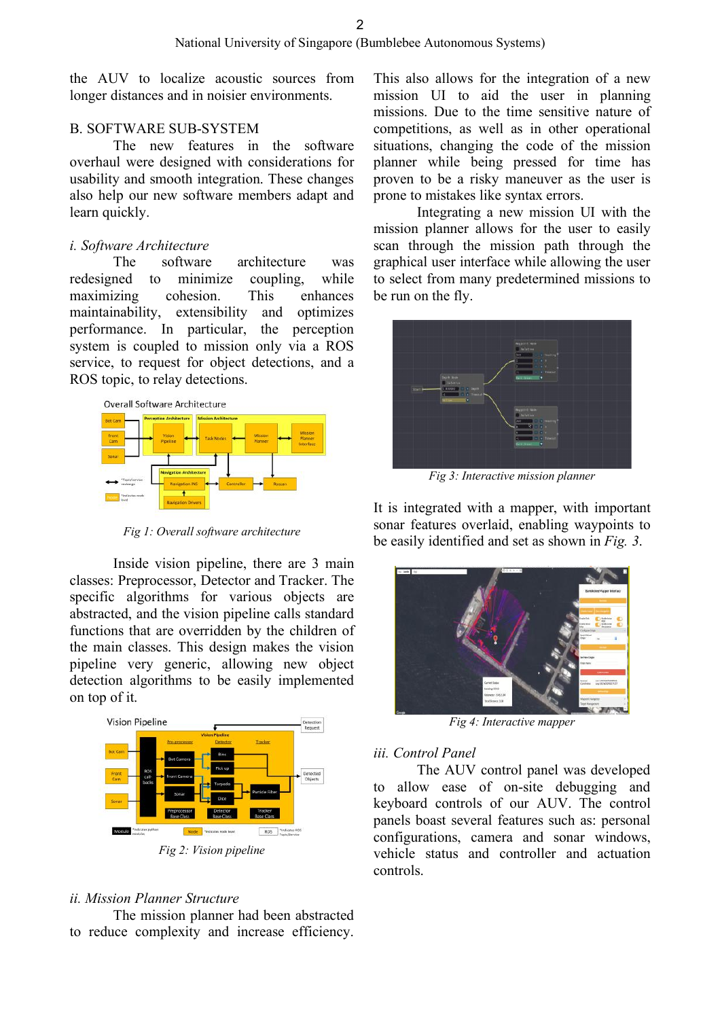the AUV to localize acoustic sources from longer distances and in noisier environments.

### B. SOFTWARE SUB-SYSTEM

The new features in the software overhaul were designed with considerations for usability and smooth integration. These changes also help our new software members adapt and learn quickly.

### *i. Software Architecture*

The software architecture was redesigned to minimize coupling, while maximizing cohesion. This enhances maintainability, extensibility and optimizes performance. In particular, the perception system is coupled to mission only via a ROS service, to request for object detections, and a ROS topic, to relay detections.



*Fig 1: Overall software architecture*

Inside vision pipeline, there are 3 main classes: Preprocessor, Detector and Tracker. The specific algorithms for various objects are abstracted, and the vision pipeline calls standard functions that are overridden by the children of the main classes. This design makes the vision pipeline very generic, allowing new object detection algorithms to be easily implemented on top of it.



### *ii. Mission Planner Structure*

The mission planner had been abstracted to reduce complexity and increase efficiency.

This also allows for the integration of a new mission UI to aid the user in planning missions. Due to the time sensitive nature of competitions, as well as in other operational situations, changing the code of the mission planner while being pressed for time has proven to be a risky maneuver as the user is prone to mistakes like syntax errors.

Integrating a new mission UI with the mission planner allows for the user to easily scan through the mission path through the graphical user interface while allowing the user to select from many predetermined missions to be run on the fly.



*Fig 3: Interactive mission planner*

It is integrated with a mapper, with important sonar features overlaid, enabling waypoints to be easily identified and set as shown in *Fig. 3*.



*Fig 4: Interactive mapper*

### *iii. Control Panel*

The AUV control panel was developed to allow ease of on-site debugging and keyboard controls of our AUV. The control panels boast several features such as: personal configurations, camera and sonar windows, vehicle status and controller and actuation controls.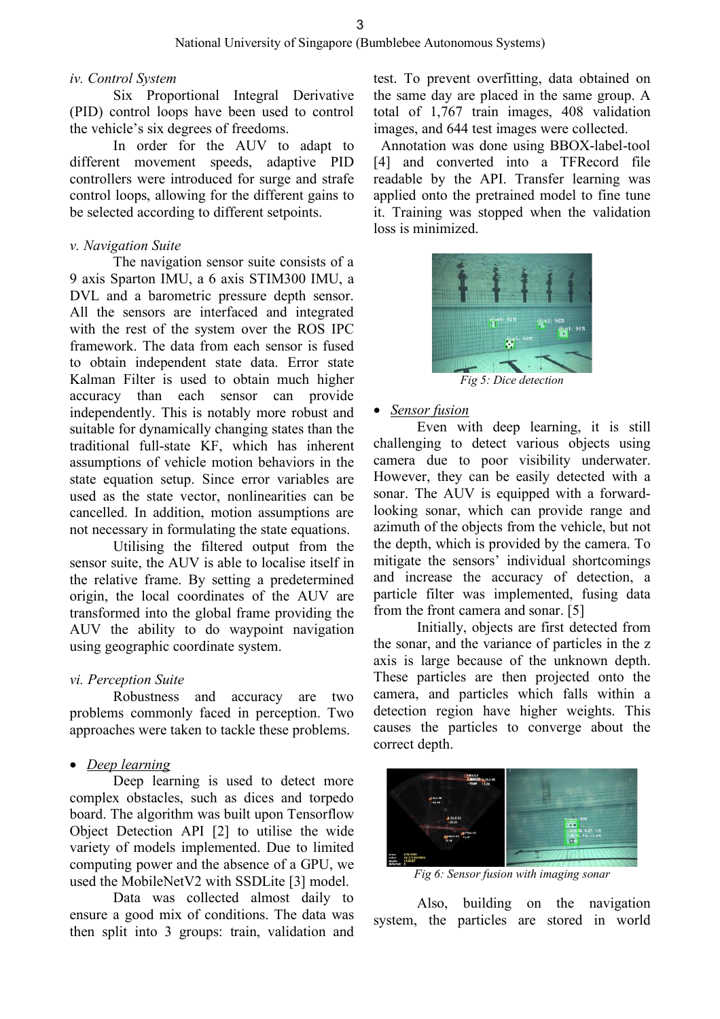#### *iv. Control System*

Six Proportional Integral Derivative (PID) control loops have been used to control the vehicle's six degrees of freedoms.

In order for the AUV to adapt to different movement speeds, adaptive PID controllers were introduced for surge and strafe control loops, allowing for the different gains to be selected according to different setpoints.

### *v. Navigation Suite*

The navigation sensor suite consists of a 9 axis Sparton IMU, a 6 axis STIM300 IMU, a DVL and a barometric pressure depth sensor. All the sensors are interfaced and integrated with the rest of the system over the ROS IPC framework. The data from each sensor is fused to obtain independent state data. Error state Kalman Filter is used to obtain much higher accuracy than each sensor can provide independently. This is notably more robust and suitable for dynamically changing states than the traditional full-state KF, which has inherent assumptions of vehicle motion behaviors in the state equation setup. Since error variables are used as the state vector, nonlinearities can be cancelled. In addition, motion assumptions are not necessary in formulating the state equations.

Utilising the filtered output from the sensor suite, the AUV is able to localise itself in the relative frame. By setting a predetermined origin, the local coordinates of the AUV are transformed into the global frame providing the AUV the ability to do waypoint navigation using geographic coordinate system.

### *vi. Perception Suite*

Robustness and accuracy are two problems commonly faced in perception. Two approaches were taken to tackle these problems.

### • *Deep learning*

Deep learning is used to detect more complex obstacles, such as dices and torpedo board. The algorithm was built upon Tensorflow Object Detection API [2] to utilise the wide variety of models implemented. Due to limited computing power and the absence of a GPU, we used the MobileNetV2 with SSDLite [3] model.

Data was collected almost daily to ensure a good mix of conditions. The data was then split into 3 groups: train, validation and test. To prevent overfitting, data obtained on the same day are placed in the same group. A total of 1,767 train images, 408 validation images, and 644 test images were collected.

 Annotation was done using BBOX-label-tool [4] and converted into a TFRecord file readable by the API. Transfer learning was applied onto the pretrained model to fine tune it. Training was stopped when the validation loss is minimized.



### • *Sensor fusion*

Even with deep learning, it is still challenging to detect various objects using camera due to poor visibility underwater. However, they can be easily detected with a sonar. The AUV is equipped with a forwardlooking sonar, which can provide range and azimuth of the objects from the vehicle, but not the depth, which is provided by the camera. To mitigate the sensors' individual shortcomings and increase the accuracy of detection, a particle filter was implemented, fusing data from the front camera and sonar. [5]

Initially, objects are first detected from the sonar, and the variance of particles in the z axis is large because of the unknown depth. These particles are then projected onto the camera, and particles which falls within a detection region have higher weights. This causes the particles to converge about the correct depth.



*Fig 6: Sensor fusion with imaging sonar*

Also, building on the navigation system, the particles are stored in world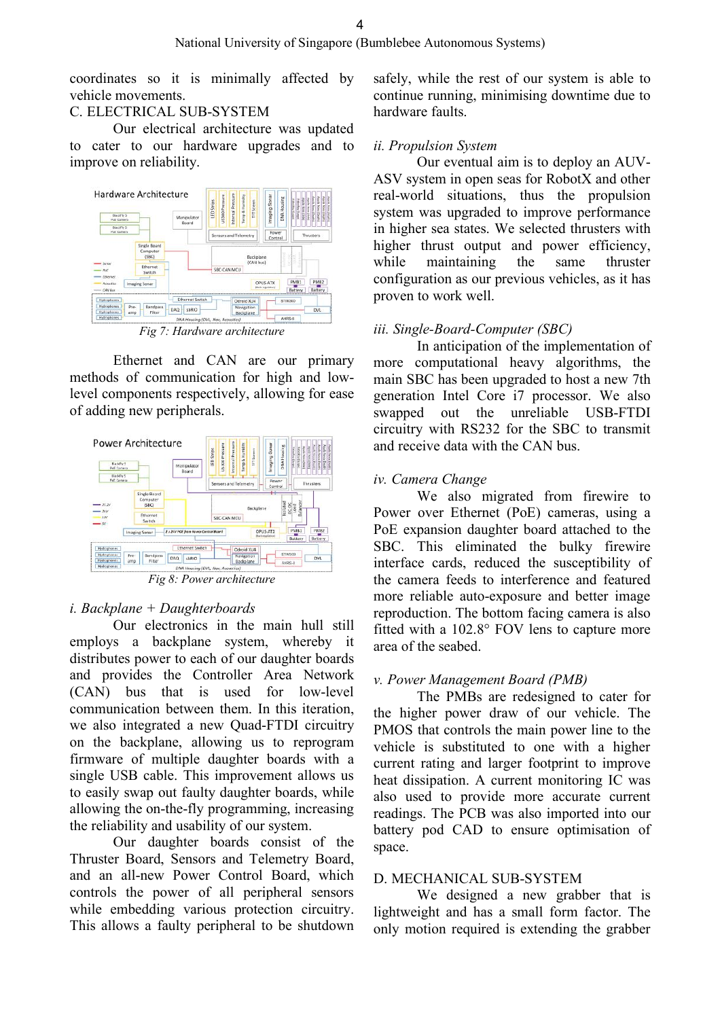coordinates so it is minimally affected by vehicle movements.

# C. ELECTRICAL SUB-SYSTEM

Our electrical architecture was updated to cater to our hardware upgrades and to improve on reliability.



*Fig 7: Hardware architecture*

Ethernet and CAN are our primary methods of communication for high and lowlevel components respectively, allowing for ease of adding new peripherals.



*Fig 8: Power architecture*

### *i. Backplane + Daughterboards*

Our electronics in the main hull still employs a backplane system, whereby it distributes power to each of our daughter boards and provides the Controller Area Network (CAN) bus that is used for low-level communication between them. In this iteration, we also integrated a new Quad-FTDI circuitry on the backplane, allowing us to reprogram firmware of multiple daughter boards with a single USB cable. This improvement allows us to easily swap out faulty daughter boards, while allowing the on-the-fly programming, increasing the reliability and usability of our system.

Our daughter boards consist of the Thruster Board, Sensors and Telemetry Board, and an all-new Power Control Board, which controls the power of all peripheral sensors while embedding various protection circuitry. This allows a faulty peripheral to be shutdown

safely, while the rest of our system is able to continue running, minimising downtime due to hardware faults.

### *ii. Propulsion System*

Our eventual aim is to deploy an AUV-ASV system in open seas for RobotX and other real-world situations, thus the propulsion system was upgraded to improve performance in higher sea states. We selected thrusters with higher thrust output and power efficiency, while maintaining the same thruster configuration as our previous vehicles, as it has proven to work well.

### *iii. Single-Board-Computer (SBC)*

In anticipation of the implementation of more computational heavy algorithms, the main SBC has been upgraded to host a new 7th generation Intel Core i7 processor. We also swapped out the unreliable USB-FTDI circuitry with RS232 for the SBC to transmit and receive data with the CAN bus.

### *iv. Camera Change*

We also migrated from firewire to Power over Ethernet (PoE) cameras, using a PoE expansion daughter board attached to the SBC. This eliminated the bulky firewire interface cards, reduced the susceptibility of the camera feeds to interference and featured more reliable auto-exposure and better image reproduction. The bottom facing camera is also fitted with a 102.8° FOV lens to capture more area of the seabed.

### *v. Power Management Board (PMB)*

The PMBs are redesigned to cater for the higher power draw of our vehicle. The PMOS that controls the main power line to the vehicle is substituted to one with a higher current rating and larger footprint to improve heat dissipation. A current monitoring IC was also used to provide more accurate current readings. The PCB was also imported into our battery pod CAD to ensure optimisation of space.

### D. MECHANICAL SUB-SYSTEM

We designed a new grabber that is lightweight and has a small form factor. The only motion required is extending the grabber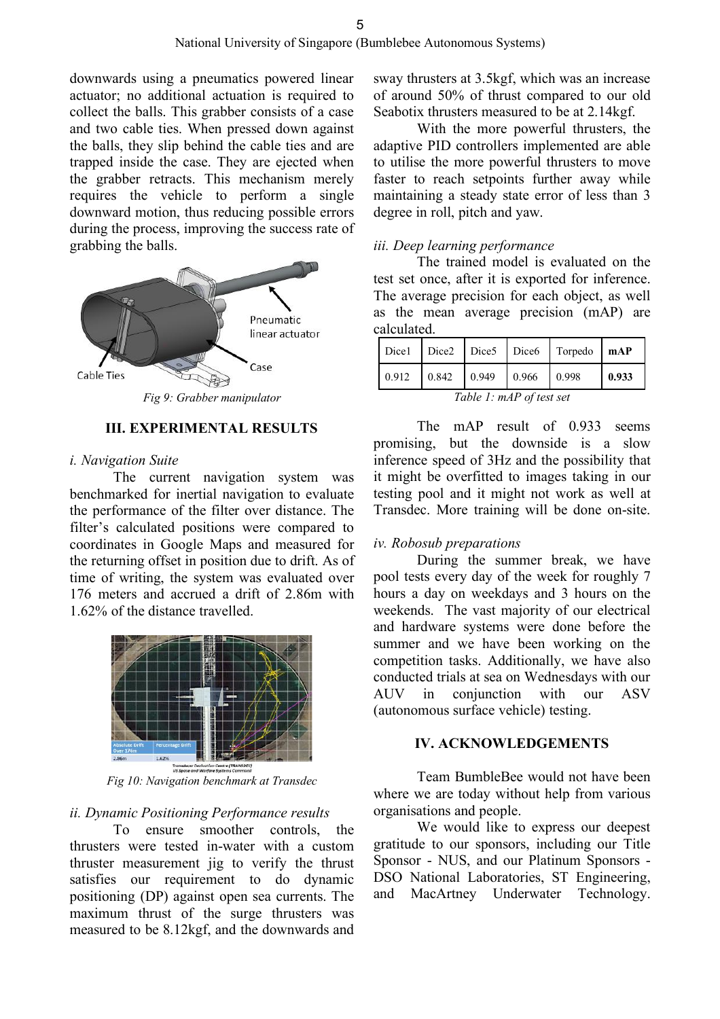downwards using a pneumatics powered linear actuator; no additional actuation is required to collect the balls. This grabber consists of a case and two cable ties. When pressed down against the balls, they slip behind the cable ties and are trapped inside the case. They are ejected when the grabber retracts. This mechanism merely requires the vehicle to perform a single downward motion, thus reducing possible errors during the process, improving the success rate of grabbing the balls.



#### **III. EXPERIMENTAL RESULTS**

#### *i. Navigation Suite*

The current navigation system was benchmarked for inertial navigation to evaluate the performance of the filter over distance. The filter's calculated positions were compared to coordinates in Google Maps and measured for the returning offset in position due to drift. As of time of writing, the system was evaluated over 176 meters and accrued a drift of 2.86m with 1.62% of the distance travelled.



*Fig 10: Navigation benchmark at Transdec*

#### *ii. Dynamic Positioning Performance results*

To ensure smoother controls, the thrusters were tested in-water with a custom thruster measurement jig to verify the thrust satisfies our requirement to do dynamic positioning (DP) against open sea currents. The maximum thrust of the surge thrusters was measured to be 8.12kgf, and the downwards and

sway thrusters at 3.5kgf, which was an increase of around 50% of thrust compared to our old Seabotix thrusters measured to be at 2.14kgf.

With the more powerful thrusters, the adaptive PID controllers implemented are able to utilise the more powerful thrusters to move faster to reach setpoints further away while maintaining a steady state error of less than 3 degree in roll, pitch and yaw.

### *iii. Deep learning performance*

The trained model is evaluated on the test set once, after it is exported for inference. The average precision for each object, as well as the mean average precision (mAP) are calculated.

|                                |  |  |  | Dicel Dice2 Dice5 Dice6 Torpedo   mAP                                                                    |       |
|--------------------------------|--|--|--|----------------------------------------------------------------------------------------------------------|-------|
|                                |  |  |  | $\begin{array}{ c c c c c c c c c c c } \hline 0.912 & 0.842 & 0.949 & 0.966 & 0.998 \hline \end{array}$ | 0.933 |
| $\mathbf{1}$ in $\mathbf{r}$ . |  |  |  |                                                                                                          |       |

*Table 1: mAP of test set*

The mAP result of 0.933 seems promising, but the downside is a slow inference speed of 3Hz and the possibility that it might be overfitted to images taking in our testing pool and it might not work as well at Transdec. More training will be done on-site.

### *iv. Robosub preparations*

During the summer break, we have pool tests every day of the week for roughly 7 hours a day on weekdays and 3 hours on the weekends. The vast majority of our electrical and hardware systems were done before the summer and we have been working on the competition tasks. Additionally, we have also conducted trials at sea on Wednesdays with our AUV in conjunction with our ASV (autonomous surface vehicle) testing.

#### **IV. ACKNOWLEDGEMENTS**

Team BumbleBee would not have been where we are today without help from various organisations and people.

We would like to express our deepest gratitude to our sponsors, including our Title Sponsor - NUS, and our Platinum Sponsors - DSO National Laboratories, ST Engineering, and MacArtney Underwater Technology.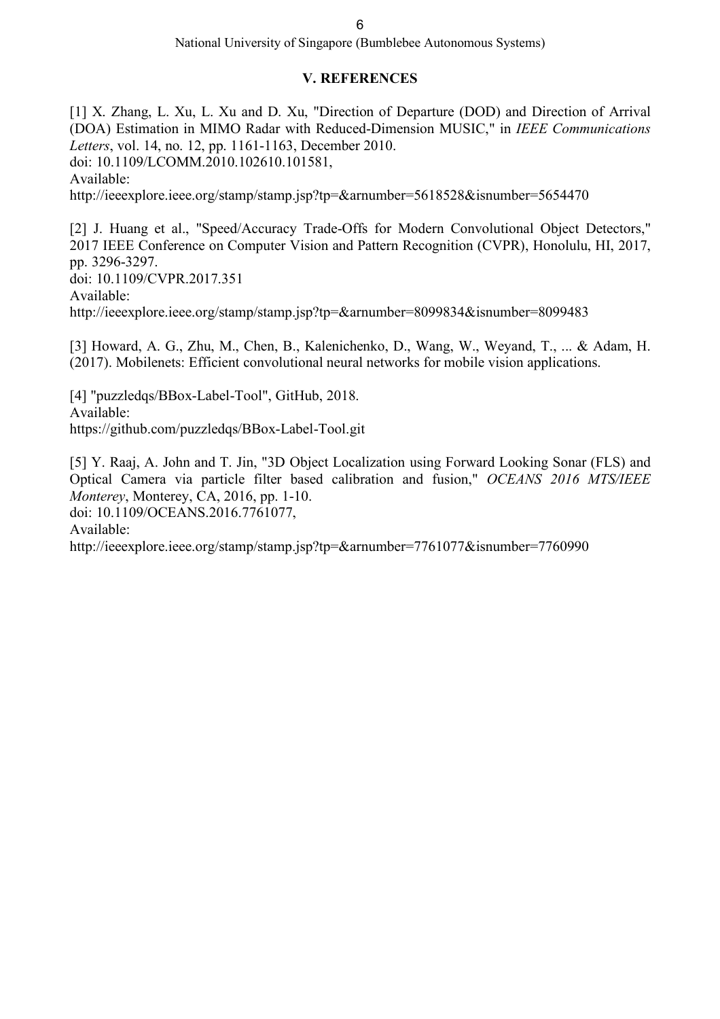# **V. REFERENCES**

[1] X. Zhang, L. Xu, L. Xu and D. Xu, "Direction of Departure (DOD) and Direction of Arrival (DOA) Estimation in MIMO Radar with Reduced-Dimension MUSIC," in *IEEE Communications Letters*, vol. 14, no. 12, pp. 1161-1163, December 2010. doi: 10.1109/LCOMM.2010.102610.101581, Available: http://ieeexplore.ieee.org/stamp/stamp.jsp?tp=&arnumber=5618528&isnumber=5654470

[2] J. Huang et al., "Speed/Accuracy Trade-Offs for Modern Convolutional Object Detectors," 2017 IEEE Conference on Computer Vision and Pattern Recognition (CVPR), Honolulu, HI, 2017, pp. 3296-3297. doi: 10.1109/CVPR.2017.351

Available:

http://ieeexplore.ieee.org/stamp/stamp.jsp?tp=&arnumber=8099834&isnumber=8099483

[3] Howard, A. G., Zhu, M., Chen, B., Kalenichenko, D., Wang, W., Weyand, T., ... & Adam, H. (2017). Mobilenets: Efficient convolutional neural networks for mobile vision applications.

[4] "puzzledqs/BBox-Label-Tool", GitHub, 2018. Available: https://github.com/puzzledqs/BBox-Label-Tool.git

[5] Y. Raaj, A. John and T. Jin, "3D Object Localization using Forward Looking Sonar (FLS) and Optical Camera via particle filter based calibration and fusion," *OCEANS 2016 MTS/IEEE Monterey*, Monterey, CA, 2016, pp. 1-10. doi: 10.1109/OCEANS.2016.7761077,

Available:

http://ieeexplore.ieee.org/stamp/stamp.jsp?tp=&arnumber=7761077&isnumber=7760990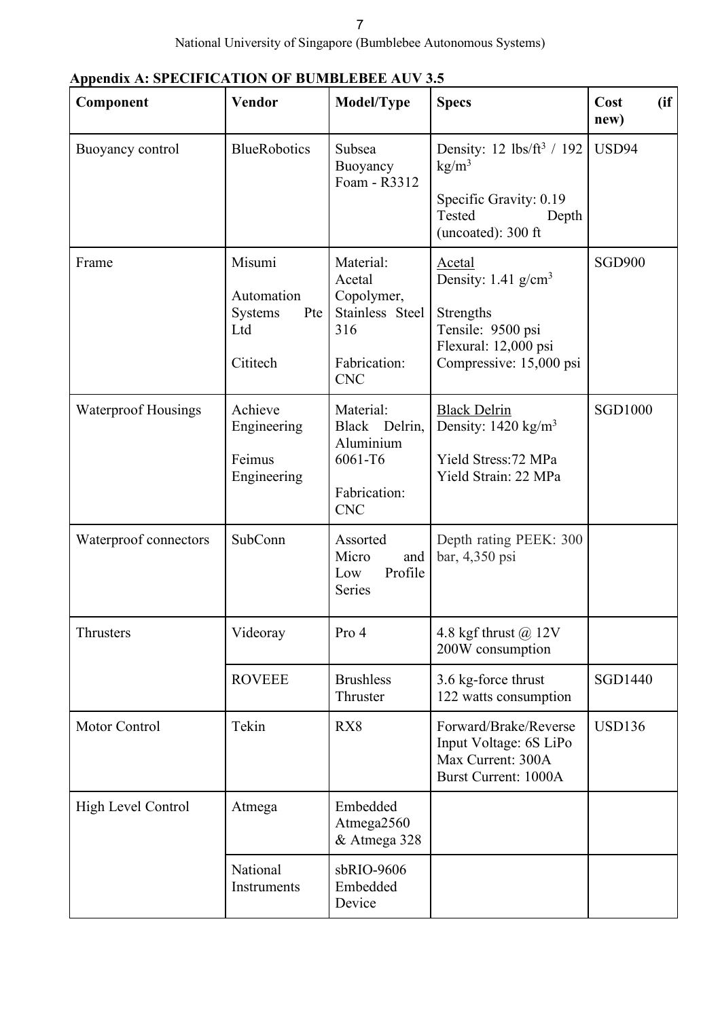|  | Appendix A: SPECIFICATION OF BUMBLEBEE AUV 3.5 |  |
|--|------------------------------------------------|--|
|  |                                                |  |

| Component                  | <b>Vendor</b>                                                    | Model/Type                                                                                | <b>Specs</b>                                                                                                                     | (ii)<br>Cost<br>new) |
|----------------------------|------------------------------------------------------------------|-------------------------------------------------------------------------------------------|----------------------------------------------------------------------------------------------------------------------------------|----------------------|
| Buoyancy control           | <b>BlueRobotics</b>                                              | Subsea<br>Buoyancy<br>Foam - R3312                                                        | Density: 12 $\frac{1}{\text{bs}}$ / 192<br>kg/m <sup>3</sup><br>Specific Gravity: 0.19<br>Tested<br>Depth<br>(uncoated): 300 ft  | USD94                |
| Frame                      | Misumi<br>Automation<br><b>Systems</b><br>Pte<br>Ltd<br>Cititech | Material:<br>Acetal<br>Copolymer,<br>Stainless Steel<br>316<br>Fabrication:<br><b>CNC</b> | Acetal<br>Density: $1.41$ g/cm <sup>3</sup><br>Strengths<br>Tensile: 9500 psi<br>Flexural: 12,000 psi<br>Compressive: 15,000 psi | <b>SGD900</b>        |
| <b>Waterproof Housings</b> | Achieve<br>Engineering<br>Feimus<br>Engineering                  | Material:<br>Black Delrin,<br>Aluminium<br>6061-T6<br>Fabrication:<br><b>CNC</b>          | <b>Black Delrin</b><br>Density: $1420 \text{ kg/m}^3$<br>Yield Stress: 72 MPa<br>Yield Strain: 22 MPa                            | <b>SGD1000</b>       |
| Waterproof connectors      | SubConn                                                          | Assorted<br>Micro<br>and<br>Profile<br>Low<br>Series                                      | Depth rating PEEK: 300<br>bar, 4,350 psi                                                                                         |                      |
| Thrusters                  | Videoray                                                         | Pro 4                                                                                     | 4.8 kgf thrust @ 12V<br>200W consumption                                                                                         |                      |
|                            | <b>ROVEEE</b>                                                    | <b>Brushless</b><br>Thruster                                                              | 3.6 kg-force thrust<br>122 watts consumption                                                                                     | <b>SGD1440</b>       |
| Motor Control              | Tekin                                                            | RX8                                                                                       | Forward/Brake/Reverse<br>Input Voltage: 6S LiPo<br>Max Current: 300A<br><b>Burst Current: 1000A</b>                              | <b>USD136</b>        |
| High Level Control         | Atmega                                                           | Embedded<br>Atmega2560<br>& Atmega 328                                                    |                                                                                                                                  |                      |
|                            | National<br>Instruments                                          | sbRIO-9606<br>Embedded<br>Device                                                          |                                                                                                                                  |                      |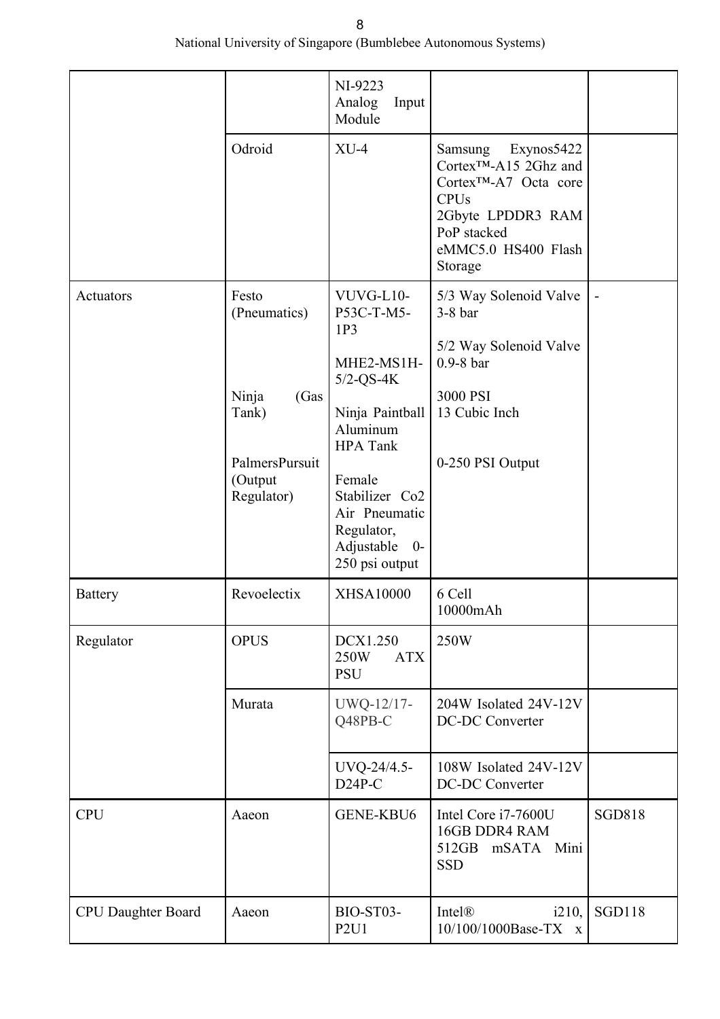National University of Singapore (Bumblebee Autonomous Systems)

|                           |                                                                                             | NI-9223<br>Analog<br>Input<br>Module                                                                                                                                                                                          |                                                                                                                                                                                      |               |
|---------------------------|---------------------------------------------------------------------------------------------|-------------------------------------------------------------------------------------------------------------------------------------------------------------------------------------------------------------------------------|--------------------------------------------------------------------------------------------------------------------------------------------------------------------------------------|---------------|
|                           | Odroid                                                                                      | $XU-4$                                                                                                                                                                                                                        | Exynos5422<br>Samsung<br>Cortex <sup>™</sup> -A15 2Ghz and<br>Cortex <sup>™</sup> -A7 Octa core<br><b>CPUs</b><br>2Gbyte LPDDR3 RAM<br>PoP stacked<br>eMMC5.0 HS400 Flash<br>Storage |               |
| Actuators                 | Festo<br>(Pneumatics)<br>Ninja<br>(Gas<br>Tank)<br>PalmersPursuit<br>(Output)<br>Regulator) | VUVG-L10-<br>P53C-T-M5-<br>1P <sub>3</sub><br>MHE2-MS1H-<br>$5/2$ -QS-4K<br>Ninja Paintball<br>Aluminum<br><b>HPA</b> Tank<br>Female<br>Stabilizer Co2<br>Air Pneumatic<br>Regulator,<br>Adjustable<br>$0-$<br>250 psi output | 5/3 Way Solenoid Valve<br>$3-8$ bar<br>5/2 Way Solenoid Valve<br>$0.9-8$ bar<br>3000 PSI<br>13 Cubic Inch<br>0-250 PSI Output                                                        |               |
| <b>Battery</b>            | Revoelectix                                                                                 | <b>XHSA10000</b>                                                                                                                                                                                                              | 6 Cell<br>10000mAh                                                                                                                                                                   |               |
| Regulator                 | <b>OPUS</b>                                                                                 | DCX1.250<br>250W<br><b>ATX</b><br><b>PSU</b>                                                                                                                                                                                  | 250W                                                                                                                                                                                 |               |
|                           | Murata                                                                                      | UWQ-12/17-<br>Q48PB-C                                                                                                                                                                                                         | 204W Isolated 24V-12V<br><b>DC-DC Converter</b>                                                                                                                                      |               |
|                           |                                                                                             | UVQ-24/4.5-<br>$D24P-C$                                                                                                                                                                                                       | 108W Isolated 24V-12V<br><b>DC-DC Converter</b>                                                                                                                                      |               |
| <b>CPU</b>                | Aaeon                                                                                       | GENE-KBU6                                                                                                                                                                                                                     | Intel Core i7-7600U<br>16GB DDR4 RAM<br>512GB mSATA Mini<br><b>SSD</b>                                                                                                               | <b>SGD818</b> |
| <b>CPU Daughter Board</b> | Aaeon                                                                                       | BIO-ST03-<br>P2U1                                                                                                                                                                                                             | Intel®<br>i210,<br>10/100/1000Base-TX x                                                                                                                                              | <b>SGD118</b> |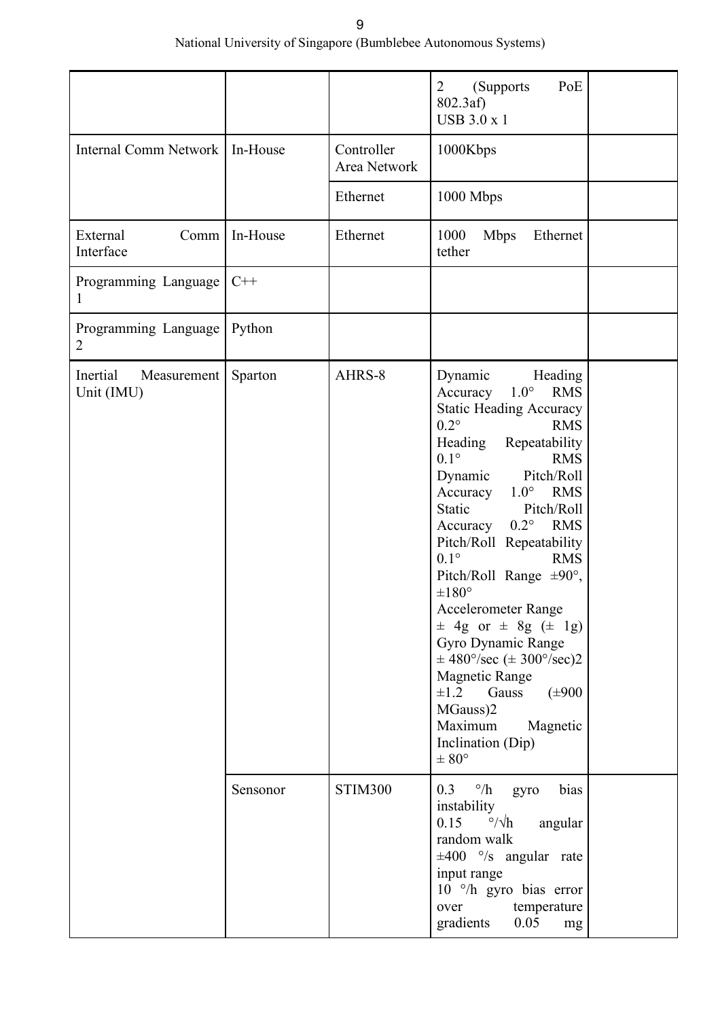National University of Singapore (Bumblebee Autonomous Systems)

|                                       |          |                            | PoE<br>$\overline{2}$<br>(Supports)<br>$802.3af$ )<br><b>USB 3.0 x 1</b>                                                                                                                                                                                                                                                                                                                                                                                                                                                                                                                                                                                                                             |  |
|---------------------------------------|----------|----------------------------|------------------------------------------------------------------------------------------------------------------------------------------------------------------------------------------------------------------------------------------------------------------------------------------------------------------------------------------------------------------------------------------------------------------------------------------------------------------------------------------------------------------------------------------------------------------------------------------------------------------------------------------------------------------------------------------------------|--|
| <b>Internal Comm Network</b>          | In-House | Controller<br>Area Network | 1000Kbps                                                                                                                                                                                                                                                                                                                                                                                                                                                                                                                                                                                                                                                                                             |  |
|                                       |          | Ethernet                   | 1000 Mbps                                                                                                                                                                                                                                                                                                                                                                                                                                                                                                                                                                                                                                                                                            |  |
| External<br>Comm<br>Interface         | In-House | Ethernet                   | 1000<br><b>Mbps</b><br>Ethernet<br>tether                                                                                                                                                                                                                                                                                                                                                                                                                                                                                                                                                                                                                                                            |  |
| Programming Language<br>1             | $C++$    |                            |                                                                                                                                                                                                                                                                                                                                                                                                                                                                                                                                                                                                                                                                                                      |  |
| Programming Language<br>2             | Python   |                            |                                                                                                                                                                                                                                                                                                                                                                                                                                                                                                                                                                                                                                                                                                      |  |
| Inertial<br>Measurement<br>Unit (IMU) | Sparton  | AHRS-8                     | Dynamic<br>Heading<br>$1.0^{\circ}$ RMS<br>Accuracy<br><b>Static Heading Accuracy</b><br>$0.2^\circ$<br><b>RMS</b><br>Heading<br>Repeatability<br>$0.1^\circ$<br><b>RMS</b><br>Pitch/Roll<br>Dynamic<br>$1.0^\circ$ RMS<br>Accuracy<br>Pitch/Roll<br>Static<br><b>RMS</b><br>$0.2^\circ$<br>Accuracy<br>Pitch/Roll Repeatability<br>$0.1^\circ$<br><b>RMS</b><br>Pitch/Roll Range $\pm 90^\circ$ ,<br>$\pm 180^\circ$<br>Accelerometer Range<br>$\pm$ 4g or $\pm$ 8g ( $\pm$ 1g)<br>Gyro Dynamic Range<br>$\pm$ 480 $\degree$ /sec ( $\pm$ 300 $\degree$ /sec)2<br>Magnetic Range<br>$\pm 1.2$<br>Gauss<br>$(\pm 900)$<br>MGauss)2<br>Maximum<br>Magnetic<br>Inclination (Dip)<br>$\pm$ $80^{\circ}$ |  |
|                                       | Sensonor | <b>STIM300</b>             | $0.3 \degree/h$<br>bias<br>gyro<br>instability<br>$\degree/\sqrt{h}$<br>0.15<br>angular<br>random walk<br>$\pm 400$ °/s angular rate<br>input range<br>10 $\degree$ /h gyro bias error<br>temperature<br>over<br>0.05<br>gradients<br>mg                                                                                                                                                                                                                                                                                                                                                                                                                                                             |  |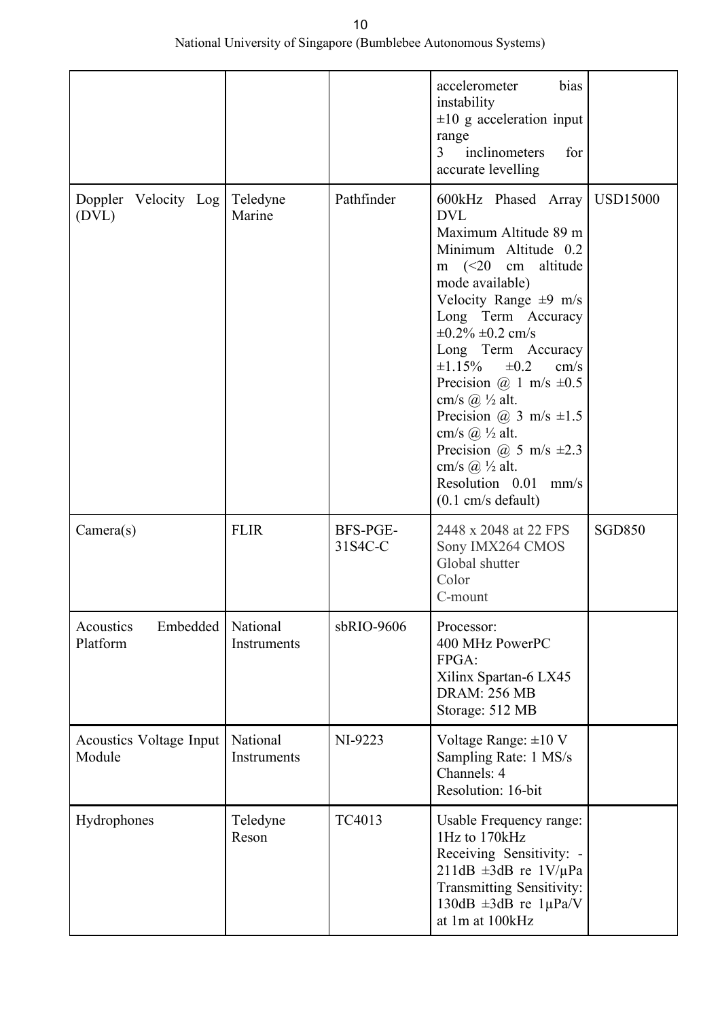|                                   |                         |                     | accelerometer<br>bias<br>instability<br>$\pm 10$ g acceleration input<br>range<br>inclinometers<br>3<br>for<br>accurate levelling                                                                                                                                                                                                                                                                                                                                                                                             |                 |
|-----------------------------------|-------------------------|---------------------|-------------------------------------------------------------------------------------------------------------------------------------------------------------------------------------------------------------------------------------------------------------------------------------------------------------------------------------------------------------------------------------------------------------------------------------------------------------------------------------------------------------------------------|-----------------|
| Doppler Velocity Log<br>(DVL)     | Teledyne<br>Marine      | Pathfinder          | 600kHz Phased Array<br><b>DVL</b><br>Maximum Altitude 89 m<br>Minimum Altitude 0.2<br>m $(<20$ cm<br>altitude<br>mode available)<br>Velocity Range $\pm 9$ m/s<br>Long Term Accuracy<br>$\pm 0.2\% \pm 0.2$ cm/s<br>Long Term Accuracy<br>$\pm 1.15\%$<br>$\pm 0.2$<br>cm/s<br>Precision @ 1 m/s $\pm 0.5$<br>cm/s $(a)$ $\frac{1}{2}$ alt.<br>Precision @ 3 m/s $\pm 1.5$<br>cm/s $\omega$ ½ alt.<br>Precision @ 5 m/s $\pm 2.3$<br>cm/s $(a)$ $\frac{1}{2}$ alt.<br>Resolution 0.01<br>mm/s<br>$(0.1 \text{ cm/s}$ default) | <b>USD15000</b> |
| Camera(s)                         | <b>FLIR</b>             | BFS-PGE-<br>31S4C-C | 2448 x 2048 at 22 FPS<br>Sony IMX264 CMOS<br>Global shutter<br>Color<br>C-mount                                                                                                                                                                                                                                                                                                                                                                                                                                               | <b>SGD850</b>   |
| Embedded<br>Acoustics<br>Platform | National<br>Instruments | sbRIO-9606          | Processor:<br>400 MHz PowerPC<br>FPGA:<br>Xilinx Spartan-6 LX45<br><b>DRAM: 256 MB</b><br>Storage: 512 MB                                                                                                                                                                                                                                                                                                                                                                                                                     |                 |
| Acoustics Voltage Input<br>Module | National<br>Instruments | NI-9223             | Voltage Range: $\pm 10$ V<br>Sampling Rate: 1 MS/s<br>Channels: 4<br>Resolution: 16-bit                                                                                                                                                                                                                                                                                                                                                                                                                                       |                 |
| Hydrophones                       | Teledyne<br>Reson       | TC4013              | Usable Frequency range:<br>1Hz to 170kHz<br>Receiving Sensitivity: -<br>211dB $\pm 3$ dB re 1V/µPa<br>Transmitting Sensitivity:<br>130dB $\pm 3$ dB re 1µPa/V<br>at 1m at 100kHz                                                                                                                                                                                                                                                                                                                                              |                 |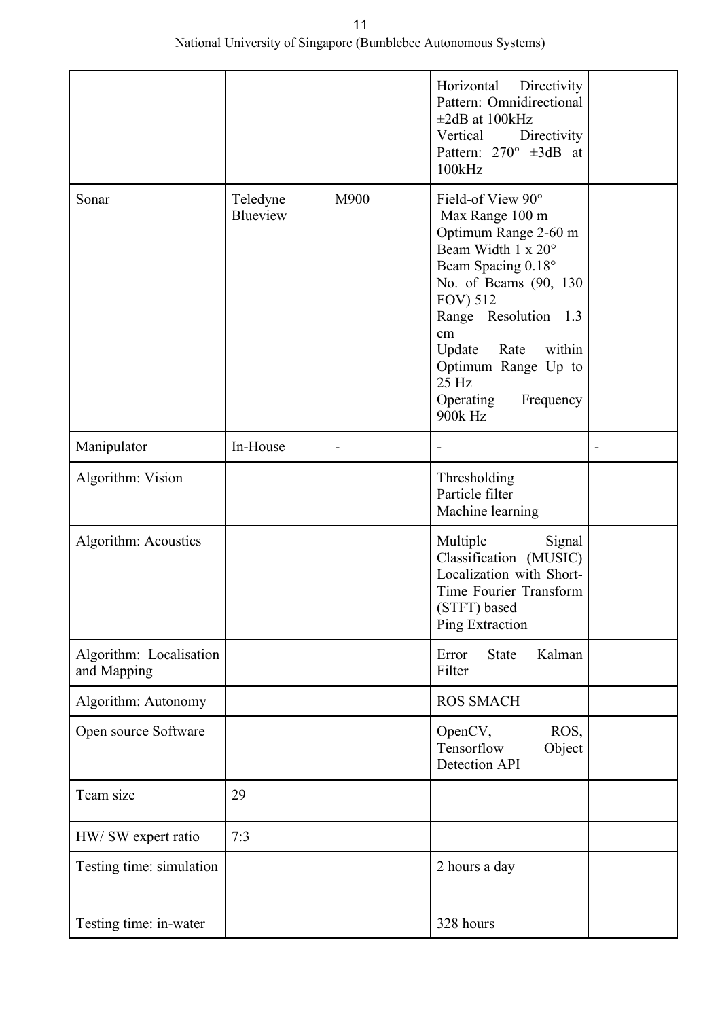|                                        |                      |      | Horizontal<br>Directivity<br>Pattern: Omnidirectional<br>$\pm 2dB$ at 100kHz<br>Vertical<br>Directivity<br>Pattern: $270^{\circ}$ $\pm 3dB$ at<br>100kHz                                                                                                                             |  |
|----------------------------------------|----------------------|------|--------------------------------------------------------------------------------------------------------------------------------------------------------------------------------------------------------------------------------------------------------------------------------------|--|
| Sonar                                  | Teledyne<br>Blueview | M900 | Field-of View 90°<br>Max Range 100 m<br>Optimum Range 2-60 m<br>Beam Width 1 x 20°<br>Beam Spacing 0.18°<br>No. of Beams (90, 130)<br><b>FOV) 512</b><br>Range Resolution 1.3<br>cm<br>Update<br>Rate<br>within<br>Optimum Range Up to<br>25 Hz<br>Operating<br>Frequency<br>900k Hz |  |
| Manipulator                            | In-House             |      |                                                                                                                                                                                                                                                                                      |  |
| Algorithm: Vision                      |                      |      | Thresholding<br>Particle filter<br>Machine learning                                                                                                                                                                                                                                  |  |
| Algorithm: Acoustics                   |                      |      | Multiple<br>Signal<br>Classification (MUSIC)<br>Localization with Short-<br>Time Fourier Transform<br>(STFT) based<br>Ping Extraction                                                                                                                                                |  |
| Algorithm: Localisation<br>and Mapping |                      |      | <b>State</b><br>Kalman<br>Error<br>Filter                                                                                                                                                                                                                                            |  |
| Algorithm: Autonomy                    |                      |      | <b>ROS SMACH</b>                                                                                                                                                                                                                                                                     |  |
| Open source Software                   |                      |      | OpenCV,<br>ROS,<br>Tensorflow<br>Object<br>Detection API                                                                                                                                                                                                                             |  |
| Team size                              | 29                   |      |                                                                                                                                                                                                                                                                                      |  |
| HW/ SW expert ratio                    | 7:3                  |      |                                                                                                                                                                                                                                                                                      |  |
| Testing time: simulation               |                      |      | 2 hours a day                                                                                                                                                                                                                                                                        |  |
| Testing time: in-water                 |                      |      | 328 hours                                                                                                                                                                                                                                                                            |  |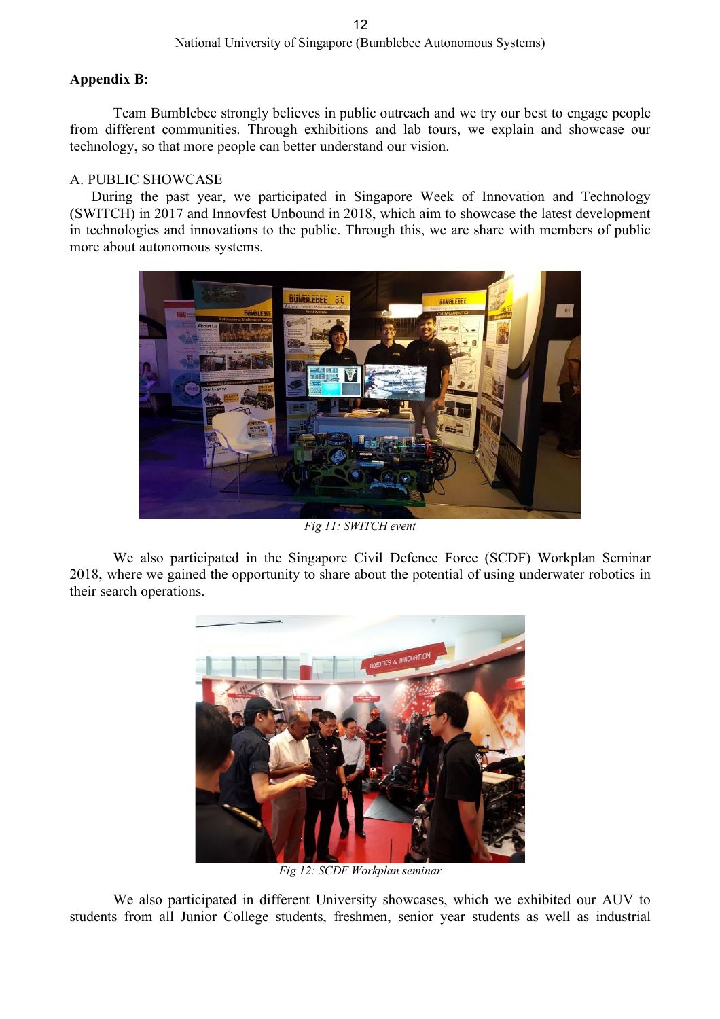# **Appendix B:**

Team Bumblebee strongly believes in public outreach and we try our best to engage people from different communities. Through exhibitions and lab tours, we explain and showcase our technology, so that more people can better understand our vision.

# A. PUBLIC SHOWCASE

During the past year, we participated in Singapore Week of Innovation and Technology (SWITCH) in 2017 and Innovfest Unbound in 2018, which aim to showcase the latest development in technologies and innovations to the public. Through this, we are share with members of public more about autonomous systems.



*Fig 11: SWITCH event*

We also participated in the Singapore Civil Defence Force (SCDF) Workplan Seminar 2018, where we gained the opportunity to share about the potential of using underwater robotics in their search operations.



*Fig 12: SCDF Workplan seminar*

We also participated in different University showcases, which we exhibited our AUV to students from all Junior College students, freshmen, senior year students as well as industrial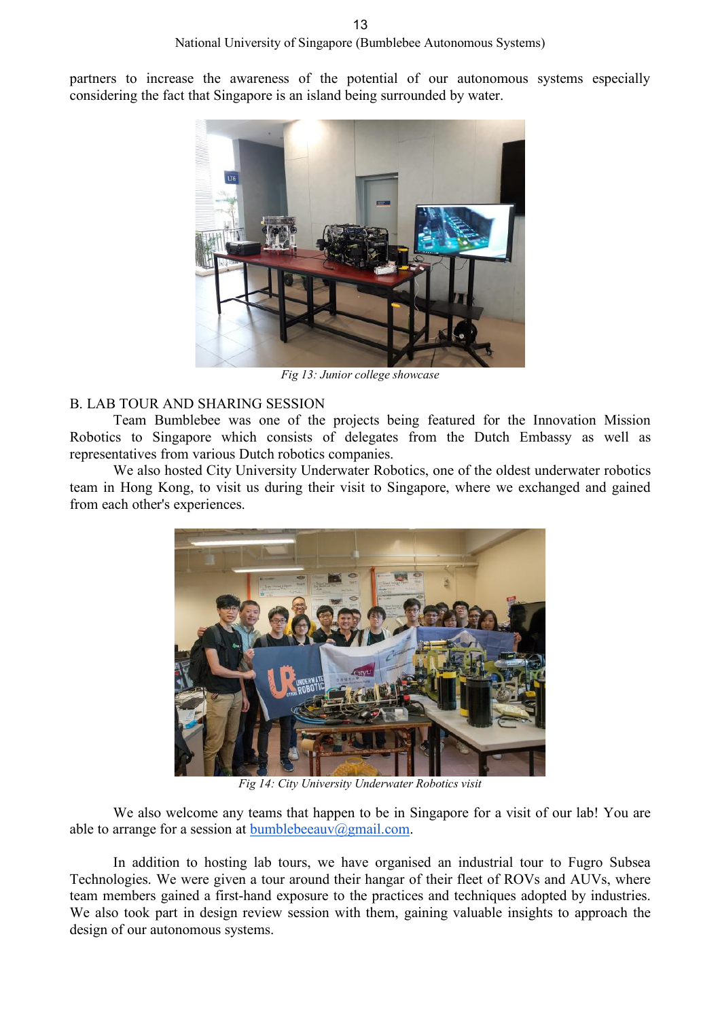partners to increase the awareness of the potential of our autonomous systems especially considering the fact that Singapore is an island being surrounded by water.



*Fig 13: Junior college showcase*

### B. LAB TOUR AND SHARING SESSION

Team Bumblebee was one of the projects being featured for the Innovation Mission Robotics to Singapore which consists of delegates from the Dutch Embassy as well as representatives from various Dutch robotics companies.

We also hosted City University Underwater Robotics, one of the oldest underwater robotics team in Hong Kong, to visit us during their visit to Singapore, where we exchanged and gained from each other's experiences.



*Fig 14: City University Underwater Robotics visit*

We also welcome any teams that happen to be in Singapore for a visit of our lab! You are able to arrange for a session at bumblebeeauv@gmail.com.

In addition to hosting lab tours, we have organised an industrial tour to Fugro Subsea Technologies. We were given a tour around their hangar of their fleet of ROVs and AUVs, where team members gained a first-hand exposure to the practices and techniques adopted by industries. We also took part in design review session with them, gaining valuable insights to approach the design of our autonomous systems.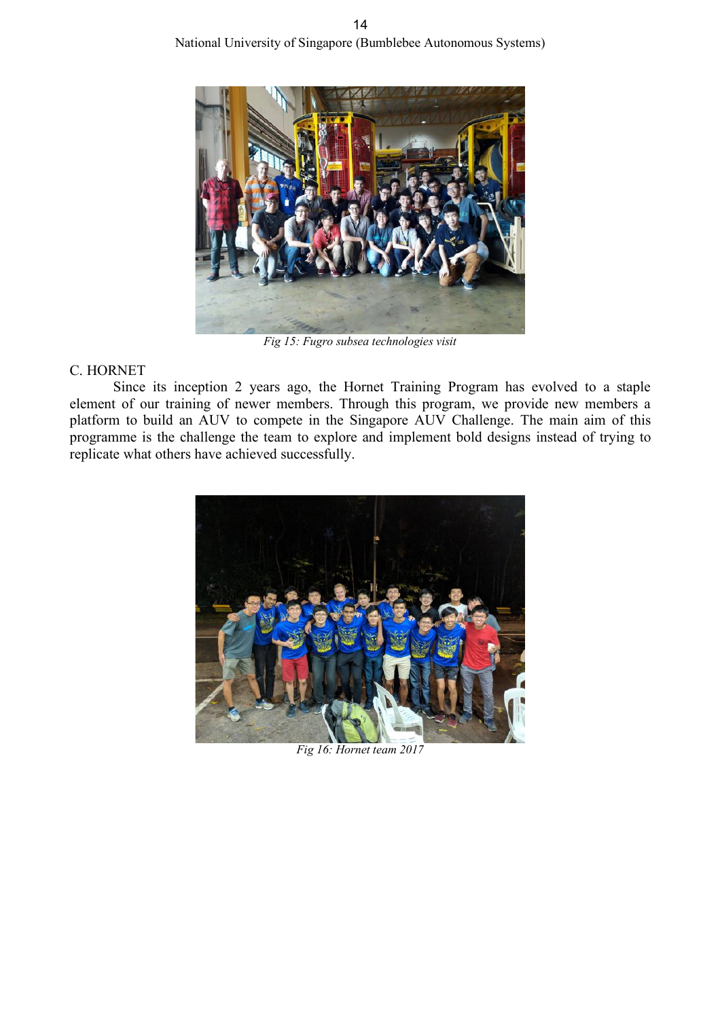

*Fig 15: Fugro subsea technologies visit*

# C. HORNET

Since its inception 2 years ago, the Hornet Training Program has evolved to a staple element of our training of newer members. Through this program, we provide new members a platform to build an AUV to compete in the Singapore AUV Challenge. The main aim of this programme is the challenge the team to explore and implement bold designs instead of trying to replicate what others have achieved successfully.



*Fig 16: Hornet team 2017*